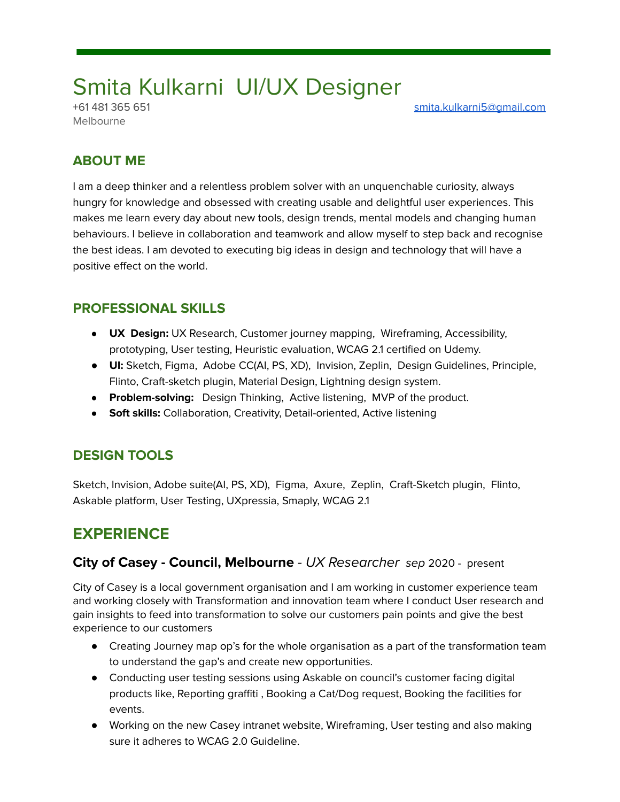# Smita Kulkarni UI/UX Designer

Melbourne

+61 481 365 651 [smita.kulkarni5@gmail.com](mailto:smita.kulkarni5@gmail.com)

### **ABOUT ME**

I am a deep thinker and a relentless problem solver with an unquenchable curiosity, always hungry for knowledge and obsessed with creating usable and delightful user experiences. This makes me learn every day about new tools, design trends, mental models and changing human behaviours. I believe in collaboration and teamwork and allow myself to step back and recognise the best ideas. I am devoted to executing big ideas in design and technology that will have a positive effect on the world.

### **PROFESSIONAL SKILLS**

- **UX Design:** UX Research, Customer journey mapping, Wireframing, Accessibility, prototyping, User testing, Heuristic evaluation, WCAG 2.1 certified on Udemy.
- **UI:** Sketch, Figma, Adobe CC(AI, PS, XD), Invision, Zeplin, Design Guidelines, Principle, Flinto, Craft-sketch plugin, Material Design, Lightning design system.
- **Problem-solving:** Design Thinking, Active listening, MVP of the product.
- **Soft skills:** Collaboration, Creativity, Detail-oriented, Active listening

### **DESIGN TOOLS**

Sketch, Invision, Adobe suite(AI, PS, XD), Figma, Axure, Zeplin, Craft-Sketch plugin, Flinto, Askable platform, User Testing, UXpressia, Smaply, WCAG 2.1

## **EXPERIENCE**

#### **City of Casey - Council, Melbourne** - UX Researcher sep 2020 - present

City of Casey is a local government organisation and I am working in customer experience team and working closely with Transformation and innovation team where I conduct User research and gain insights to feed into transformation to solve our customers pain points and give the best experience to our customers

- Creating Journey map op's for the whole organisation as a part of the transformation team to understand the gap's and create new opportunities.
- Conducting user testing sessions using Askable on council's customer facing digital products like, Reporting graffiti , Booking a Cat/Dog request, Booking the facilities for events.
- Working on the new Casey intranet website, Wireframing, User testing and also making sure it adheres to WCAG 2.0 Guideline.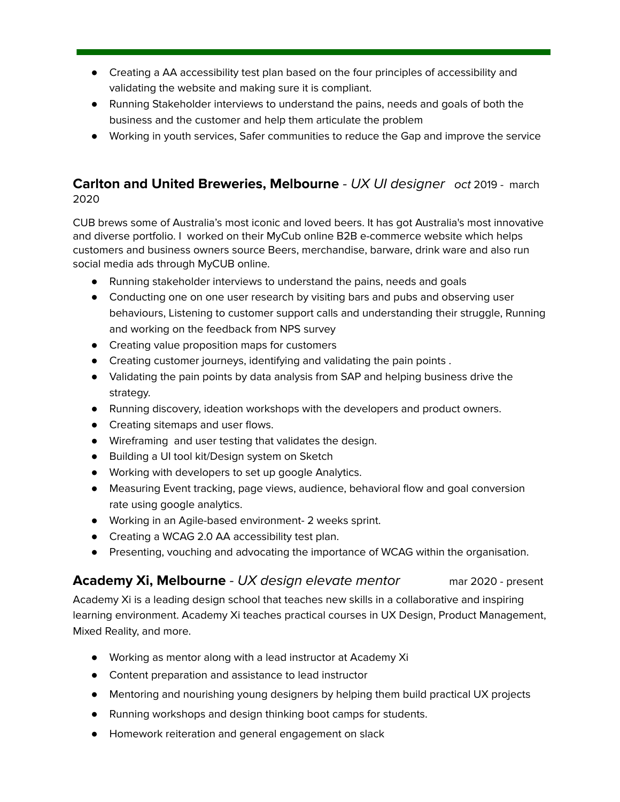- Creating a AA accessibility test plan based on the four principles of accessibility and validating the website and making sure it is compliant.
- Running Stakeholder interviews to understand the pains, needs and goals of both the business and the customer and help them articulate the problem
- Working in youth services, Safer communities to reduce the Gap and improve the service

### **Carlton and United Breweries, Melbourne** - UX UI designer oct 2019 - march 2020

CUB brews some of Australia's most iconic and loved beers. It has got Australia's most innovative and diverse portfolio. I worked on their MyCub online B2B e-commerce website which helps customers and business owners source Beers, merchandise, barware, drink ware and also run social media ads through MyCUB online.

- Running stakeholder interviews to understand the pains, needs and goals
- Conducting one on one user research by visiting bars and pubs and observing user behaviours, Listening to customer support calls and understanding their struggle, Running and working on the feedback from NPS survey
- Creating value proposition maps for customers
- Creating customer journeys, identifying and validating the pain points .
- Validating the pain points by data analysis from SAP and helping business drive the strategy.
- Running discovery, ideation workshops with the developers and product owners.
- Creating sitemaps and user flows.
- Wireframing and user testing that validates the design.
- Building a UI tool kit/Design system on Sketch
- Working with developers to set up google Analytics.
- Measuring Event tracking, page views, audience, behavioral flow and goal conversion rate using google analytics.
- Working in an Agile-based environment- 2 weeks sprint.
- Creating a WCAG 2.0 AA accessibility test plan.
- Presenting, vouching and advocating the importance of WCAG within the organisation.

### **Academy Xi, Melbourne** - UX design elevate mentor mar 2020 - present

Academy Xi is a leading design school that teaches new skills in a collaborative and inspiring learning environment. Academy Xi teaches practical courses in UX Design, Product Management, Mixed Reality, and more.

- Working as mentor along with a lead instructor at Academy Xi
- Content preparation and assistance to lead instructor
- Mentoring and nourishing young designers by helping them build practical UX projects
- Running workshops and design thinking boot camps for students.
- Homework reiteration and general engagement on slack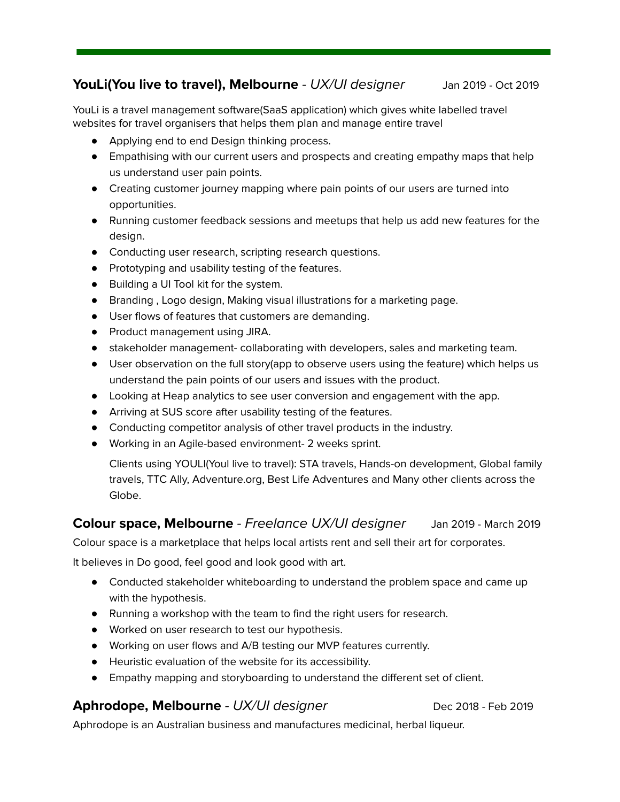#### **YouLi(You live to travel), Melbourne** - UX/UI designer Jan 2019 - Oct 2019

YouLi is a travel management software(SaaS application) which gives white labelled travel websites for travel organisers that helps them plan and manage entire travel

- Applying end to end Design thinking process.
- Empathising with our current users and prospects and creating empathy maps that help us understand user pain points.
- Creating customer journey mapping where pain points of our users are turned into opportunities.
- Running customer feedback sessions and meetups that help us add new features for the design.
- Conducting user research, scripting research questions.
- Prototyping and usability testing of the features.
- Building a UI Tool kit for the system.
- Branding , Logo design, Making visual illustrations for a marketing page.
- User flows of features that customers are demanding.
- Product management using JIRA.
- stakeholder management- collaborating with developers, sales and marketing team.
- User observation on the full story(app to observe users using the feature) which helps us understand the pain points of our users and issues with the product.
- Looking at Heap analytics to see user conversion and engagement with the app.
- Arriving at SUS score after usability testing of the features.
- Conducting competitor analysis of other travel products in the industry.
- Working in an Agile-based environment- 2 weeks sprint.

Clients using YOULI(Youl live to travel): STA travels, Hands-on development, Global family travels, TTC Ally, Adventure.org, Best Life Adventures and Many other clients across the Globe.

#### **Colour space, Melbourne** - Freelance UX/UI designer Jan 2019 - March 2019

Colour space is a marketplace that helps local artists rent and sell their art for corporates.

It believes in Do good, feel good and look good with art.

- Conducted stakeholder whiteboarding to understand the problem space and came up with the hypothesis.
- Running a workshop with the team to find the right users for research.
- Worked on user research to test our hypothesis.
- Working on user flows and A/B testing our MVP features currently.
- Heuristic evaluation of the website for its accessibility.
- Empathy mapping and storyboarding to understand the different set of client.

#### **Aphrodope, Melbourne** - UX/UI designer Dec 2018 - Feb 2019

Aphrodope is an Australian business and manufactures medicinal, herbal liqueur.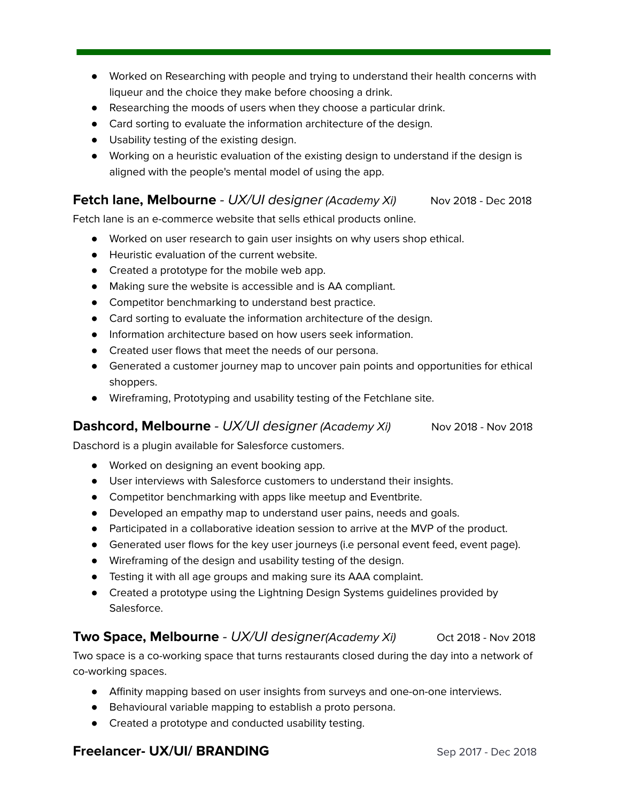- Worked on Researching with people and trying to understand their health concerns with liqueur and the choice they make before choosing a drink.
- Researching the moods of users when they choose a particular drink.
- Card sorting to evaluate the information architecture of the design.
- Usability testing of the existing design.
- Working on a heuristic evaluation of the existing design to understand if the design is aligned with the people's mental model of using the app.

#### **Fetch lane, Melbourne** - UX/UI designer (Academy Xi) Nov 2018 - Dec 2018

Fetch lane is an e-commerce website that sells ethical products online.

- Worked on user research to gain user insights on why users shop ethical.
- Heuristic evaluation of the current website.
- Created a prototype for the mobile web app.
- Making sure the website is accessible and is AA compliant.
- Competitor benchmarking to understand best practice.
- Card sorting to evaluate the information architecture of the design.
- Information architecture based on how users seek information.
- Created user flows that meet the needs of our persona.
- Generated a customer journey map to uncover pain points and opportunities for ethical shoppers.
- Wireframing, Prototyping and usability testing of the Fetchlane site.

#### **Dashcord, Melbourne** - UX/UI designer (Academy Xi) Nov 2018 - Nov 2018

Daschord is a plugin available for Salesforce customers.

- Worked on designing an event booking app.
- User interviews with Salesforce customers to understand their insights.
- Competitor benchmarking with apps like meetup and Eventbrite.
- Developed an empathy map to understand user pains, needs and goals.
- Participated in a collaborative ideation session to arrive at the MVP of the product.
- Generated user flows for the key user journeys (i.e personal event feed, event page).
- Wireframing of the design and usability testing of the design.
- Testing it with all age groups and making sure its AAA complaint.
- Created a prototype using the Lightning Design Systems guidelines provided by Salesforce.

#### **Two Space, Melbourne** - UX/UI designer(Academy Xi) Oct 2018 - Nov 2018

Two space is a co-working space that turns restaurants closed during the day into a network of co-working spaces.

- Affinity mapping based on user insights from surveys and one-on-one interviews.
- Behavioural variable mapping to establish a proto persona.
- Created a prototype and conducted usability testing.

#### **Freelancer- UX/UI/ BRANDING** Sep 2017 - Dec 2018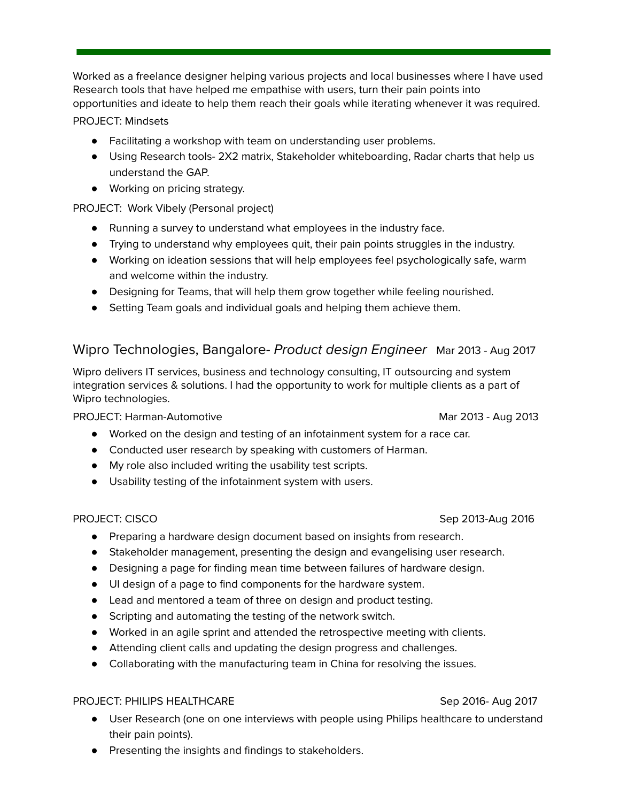Worked as a freelance designer helping various projects and local businesses where I have used Research tools that have helped me empathise with users, turn their pain points into opportunities and ideate to help them reach their goals while iterating whenever it was required. PROJECT: Mindsets

- Facilitating a workshop with team on understanding user problems.
- Using Research tools- 2X2 matrix, Stakeholder whiteboarding, Radar charts that help us understand the GAP.
- Working on pricing strategy.

PROJECT: Work Vibely (Personal project)

- Running a survey to understand what employees in the industry face.
- Trying to understand why employees quit, their pain points struggles in the industry.
- Working on ideation sessions that will help employees feel psychologically safe, warm and welcome within the industry.
- Designing for Teams, that will help them grow together while feeling nourished.
- Setting Team goals and individual goals and helping them achieve them.

#### Wipro Technologies, Bangalore- Product design Engineer Mar 2013 - Aug 2017

Wipro delivers IT services, business and technology consulting, IT outsourcing and system integration services & solutions. I had the opportunity to work for multiple clients as a part of Wipro technologies.

PROJECT: Harman-Automotive Mar 2013 - Aug 2013

- Worked on the design and testing of an infotainment system for a race car.
- Conducted user research by speaking with customers of Harman.
- My role also included writing the usability test scripts.
- Usability testing of the infotainment system with users.

#### PROJECT: CISCO **Sep 2013-Aug 2016**

- Preparing a hardware design document based on insights from research.
- Stakeholder management, presenting the design and evangelising user research.
- Designing a page for finding mean time between failures of hardware design.
- UI design of a page to find components for the hardware system.
- Lead and mentored a team of three on design and product testing.
- Scripting and automating the testing of the network switch.
- Worked in an agile sprint and attended the retrospective meeting with clients.
- Attending client calls and updating the design progress and challenges.
- Collaborating with the manufacturing team in China for resolving the issues.

#### PROJECT: PHILIPS HEALTHCARE Sep 2016- Aug 2017

- User Research (one on one interviews with people using Philips healthcare to understand their pain points).
- Presenting the insights and findings to stakeholders.